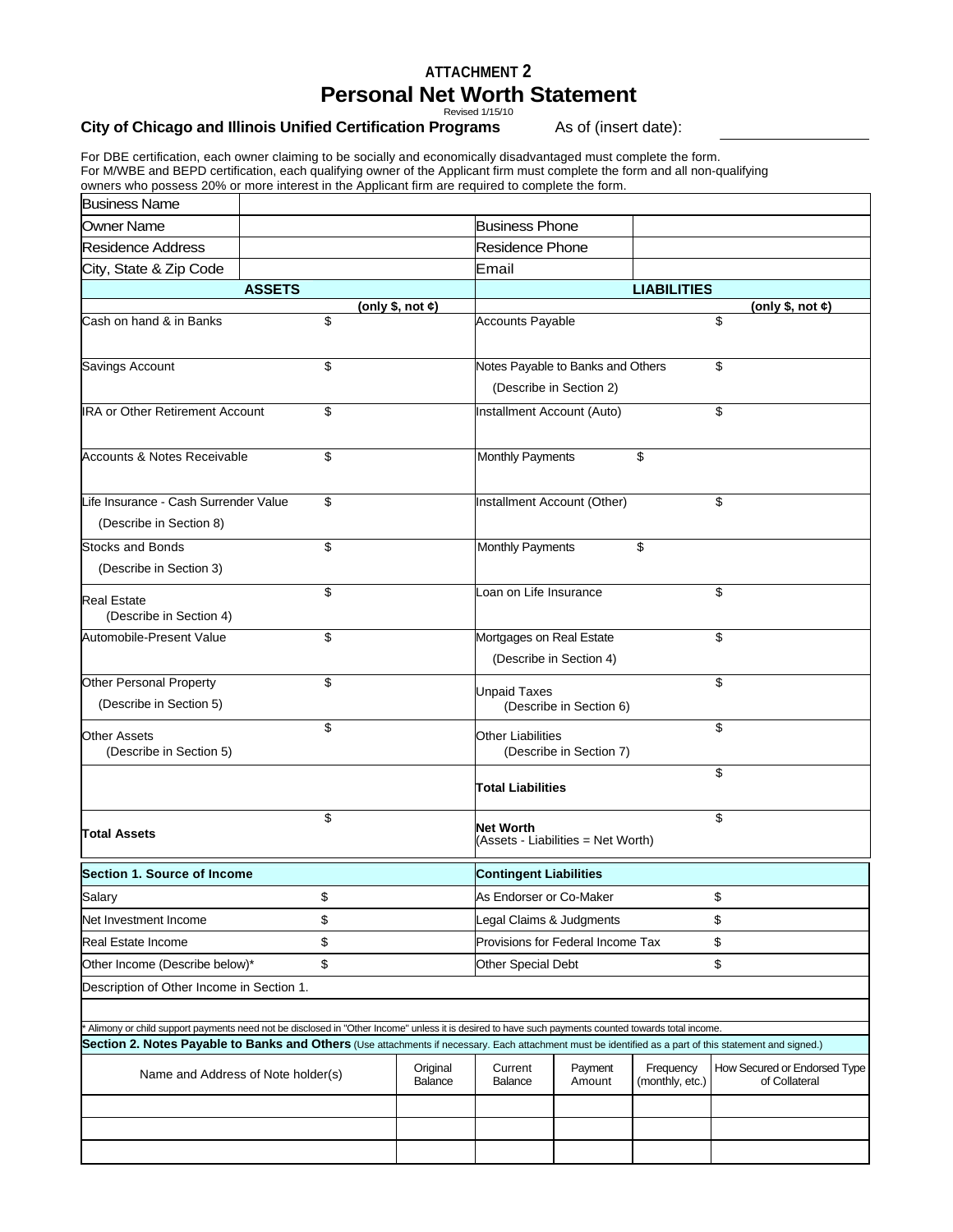## **ATTACHMENT 2 Personal Net Worth Statement**

Revised 1/15/10

## **City of Chicago and Illinois Unified Certification Programs** As of (insert date):

For DBE certification, each owner claiming to be socially and economically disadvantaged must complete the form. For M/WBE and BEPD certification, each qualifying owner of the Applicant firm must complete the form and all non-qualifying owners who possess 20% or more interest in the Applicant firm are required to complete the form.

| <b>Business Name</b>                                                                                                                                    |                                                                                                                                                    |                     |                                                                    |                                    |                                         |                                               |  |  |  |
|---------------------------------------------------------------------------------------------------------------------------------------------------------|----------------------------------------------------------------------------------------------------------------------------------------------------|---------------------|--------------------------------------------------------------------|------------------------------------|-----------------------------------------|-----------------------------------------------|--|--|--|
| Owner Name                                                                                                                                              |                                                                                                                                                    |                     | <b>Business Phone</b>                                              |                                    |                                         |                                               |  |  |  |
| Residence Address                                                                                                                                       |                                                                                                                                                    |                     | <b>Residence Phone</b>                                             |                                    |                                         |                                               |  |  |  |
| City, State & Zip Code                                                                                                                                  |                                                                                                                                                    |                     | Email                                                              |                                    |                                         |                                               |  |  |  |
|                                                                                                                                                         | <b>ASSETS</b>                                                                                                                                      |                     | <b>LIABILITIES</b>                                                 |                                    |                                         |                                               |  |  |  |
| Cash on hand & in Banks                                                                                                                                 | \$                                                                                                                                                 | (only \$, not $ε$ ) | <b>Accounts Payable</b>                                            |                                    |                                         | (only \$, not \$)<br>\$                       |  |  |  |
|                                                                                                                                                         |                                                                                                                                                    |                     |                                                                    |                                    |                                         |                                               |  |  |  |
| Savings Account                                                                                                                                         | \$                                                                                                                                                 |                     | Notes Payable to Banks and Others<br>\$<br>(Describe in Section 2) |                                    |                                         |                                               |  |  |  |
|                                                                                                                                                         |                                                                                                                                                    |                     |                                                                    |                                    |                                         |                                               |  |  |  |
| <b>IRA or Other Retirement Account</b>                                                                                                                  | \$                                                                                                                                                 |                     | Installment Account (Auto)                                         |                                    |                                         | \$                                            |  |  |  |
| Accounts & Notes Receivable                                                                                                                             | \$                                                                                                                                                 |                     | <b>Monthly Payments</b>                                            |                                    | \$                                      |                                               |  |  |  |
| Life Insurance - Cash Surrender Value<br>(Describe in Section 8)                                                                                        | \$                                                                                                                                                 |                     | Installment Account (Other)                                        |                                    |                                         | \$                                            |  |  |  |
| <b>Stocks and Bonds</b>                                                                                                                                 | \$                                                                                                                                                 |                     | <b>Monthly Payments</b>                                            |                                    | \$                                      |                                               |  |  |  |
| (Describe in Section 3)                                                                                                                                 |                                                                                                                                                    |                     |                                                                    |                                    |                                         |                                               |  |  |  |
| <b>Real Estate</b><br>(Describe in Section 4)                                                                                                           | \$                                                                                                                                                 |                     | Loan on Life Insurance                                             |                                    |                                         | \$                                            |  |  |  |
| Automobile-Present Value                                                                                                                                | \$                                                                                                                                                 |                     | Mortgages on Real Estate                                           | (Describe in Section 4)            |                                         | \$                                            |  |  |  |
| <b>Other Personal Property</b><br>(Describe in Section 5)                                                                                               | \$                                                                                                                                                 |                     | Unpaid Taxes                                                       | (Describe in Section 6)            |                                         | \$                                            |  |  |  |
| <b>Other Assets</b><br>(Describe in Section 5)                                                                                                          | \$                                                                                                                                                 |                     | <b>Other Liabilities</b>                                           | (Describe in Section 7)            |                                         | \$                                            |  |  |  |
|                                                                                                                                                         |                                                                                                                                                    |                     | Total Liabilities                                                  |                                    |                                         | \$                                            |  |  |  |
| <b>Total Assets</b>                                                                                                                                     | \$                                                                                                                                                 |                     | Net Worth                                                          | (Assets - Liabilities = Net Worth) |                                         | \$                                            |  |  |  |
| Section 1. Source of Income                                                                                                                             |                                                                                                                                                    |                     | <b>Contingent Liabilities</b>                                      |                                    |                                         |                                               |  |  |  |
| Salary                                                                                                                                                  | \$                                                                                                                                                 |                     | \$<br>As Endorser or Co-Maker                                      |                                    |                                         |                                               |  |  |  |
| Net Investment Income                                                                                                                                   | \$                                                                                                                                                 |                     | \$<br>Legal Claims & Judgments                                     |                                    |                                         |                                               |  |  |  |
| <b>Real Estate Income</b>                                                                                                                               | \$                                                                                                                                                 |                     |                                                                    |                                    | \$<br>Provisions for Federal Income Tax |                                               |  |  |  |
|                                                                                                                                                         | \$<br>Other Income (Describe below)*                                                                                                               |                     |                                                                    | \$<br><b>Other Special Debt</b>    |                                         |                                               |  |  |  |
| Description of Other Income in Section 1.                                                                                                               |                                                                                                                                                    |                     |                                                                    |                                    |                                         |                                               |  |  |  |
|                                                                                                                                                         |                                                                                                                                                    |                     |                                                                    |                                    |                                         |                                               |  |  |  |
|                                                                                                                                                         | Alimony or child support payments need not be disclosed in "Other Income" unless it is desired to have such payments counted towards total income. |                     |                                                                    |                                    |                                         |                                               |  |  |  |
| Section 2. Notes Payable to Banks and Others (Use attachments if necessary. Each attachment must be identified as a part of this statement and signed.) |                                                                                                                                                    |                     |                                                                    |                                    |                                         |                                               |  |  |  |
|                                                                                                                                                         | Name and Address of Note holder(s)                                                                                                                 | Original<br>Balance | Current<br>Balance                                                 | Payment<br>Amount                  | Frequency<br>(monthly, etc.)            | How Secured or Endorsed Type<br>of Collateral |  |  |  |
|                                                                                                                                                         |                                                                                                                                                    |                     |                                                                    |                                    |                                         |                                               |  |  |  |
|                                                                                                                                                         |                                                                                                                                                    |                     |                                                                    |                                    |                                         |                                               |  |  |  |
|                                                                                                                                                         |                                                                                                                                                    |                     |                                                                    |                                    |                                         |                                               |  |  |  |